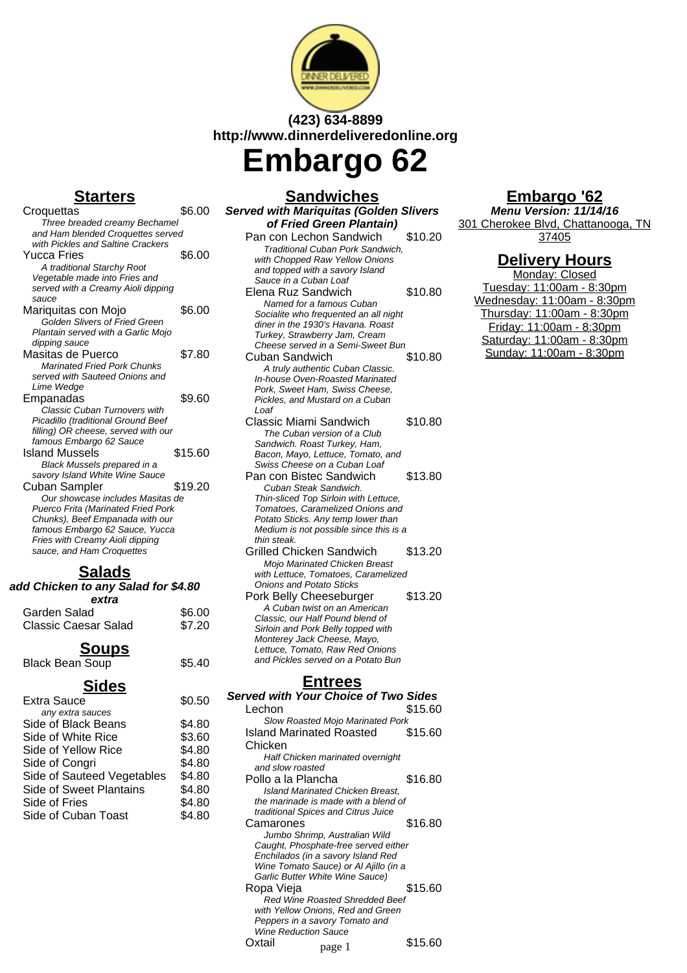

## **(423) 634-8899 http://www.dinnerdeliveredonline.org**

**Embargo 62**

### **Starters**

| <u>.</u>                             |         |
|--------------------------------------|---------|
| Croquettas                           | \$6.00  |
| Three breaded creamy Bechamel        |         |
| and Ham blended Croquettes served    |         |
| with Pickles and Saltine Crackers    |         |
| Yucca Fries                          | \$6.00  |
| A traditional Starchy Root           |         |
| Vegetable made into Fries and        |         |
| served with a Creamy Aioli dipping   |         |
| sauce                                |         |
| Mariquitas con Mojo                  | \$6.00  |
| <b>Golden Slivers of Fried Green</b> |         |
| Plantain served with a Garlic Mojo   |         |
| dipping sauce                        |         |
| Masitas de Puerco                    | \$7.80  |
| <b>Marinated Fried Pork Chunks</b>   |         |
| served with Sauteed Onions and       |         |
| Lime Wedge                           |         |
| Empanadas                            | \$9.60  |
| <b>Classic Cuban Turnovers with</b>  |         |
| Picadillo (traditional Ground Beef   |         |
| filling) OR cheese, served with our  |         |
| famous Embargo 62 Sauce              |         |
| Island Mussels                       | \$15.60 |
| Black Mussels prepared in a          |         |
| savory Island White Wine Sauce       |         |
| Cuban Sampler                        | \$19.20 |
| Our showcase includes Masitas de     |         |
| Puerco Frita (Marinated Fried Pork   |         |
| Chunks), Beef Empanada with our      |         |
| famous Embargo 62 Sauce, Yucca       |         |
| Fries with Creamy Aioli dipping      |         |
| sauce, and Ham Croquettes            |         |
| Calada                               |         |

| əaidus<br>add Chicken to any Salad for \$4.80 |        |
|-----------------------------------------------|--------|
| extra                                         |        |
| Garden Salad                                  | \$6.00 |
| Classic Caesar Salad                          | \$7.20 |
|                                               |        |

#### **Soups** Black Bean Soup \$5.40

**Sides** Extra Sauce \$0.50 any extra sauces Side of Black Beans \$4.80 Side of White Rice \$3.60 Side of Yellow Rice \$4.80 Side of Congri \$4.80 Side of Sauteed Vegetables \$4.80 Side of Sweet Plantains \$4.80 Side of Fries \$4.80 Side of Cuban Toast \$4.80

#### **Sandwiches Served with Mariquitas (Golden Slivers of Fried Green Plantain)** Pan con Lechon Sandwich \$10.20 Traditional Cuban Pork Sandwich, with Chopped Raw Yellow Onions and topped with a savory Island Sauce in a Cuban Loaf Elena Ruz Sandwich \$10.80 Named for a famous Cuban Socialite who frequented an all night diner in the 1930's Havana. Roast Turkey, Strawberry Jam, Cream Cheese served in a Semi-Sweet Bun Cuban Sandwich \$10.80 A truly authentic Cuban Classic. In-house Oven-Roasted Marinated Pork, Sweet Ham, Swiss Cheese, Pickles, and Mustard on a Cuban Loaf Classic Miami Sandwich \$10.80 The Cuban version of a Club Sandwich. Roast Turkey, Ham, Bacon, Mayo, Lettuce, Tomato, and Swiss Cheese on a Cuban Loaf Pan con Bistec Sandwich \$13.80 Cuban Steak Sandwich. Thin-sliced Top Sirloin with Lettuce, Tomatoes, Caramelized Onions and Potato Sticks. Any temp lower than Medium is not possible since this is a thin steak. Grilled Chicken Sandwich \$13.20 Mojo Marinated Chicken Breast with Lettuce, Tomatoes, Caramelized Onions and Potato Sticks Pork Belly Cheeseburger \$13.20 A Cuban twist on an American Classic, our Half Pound blend of Sirloin and Pork Belly topped with Monterey Jack Cheese, Mayo, Lettuce, Tomato, Raw Red Onions and Pickles served on a Potato Bun **Entrees**

|                    | <b>Served with Your Choice of Two Sides</b>                              |         |
|--------------------|--------------------------------------------------------------------------|---------|
| Lechon             |                                                                          | \$15.60 |
|                    | <b>Slow Roasted Mojo Marinated Pork</b>                                  |         |
|                    | Island Marinated Roasted                                                 | \$15.60 |
| Chicken            |                                                                          |         |
|                    | Half Chicken marinated overnight                                         |         |
| and slow roasted   |                                                                          |         |
| Pollo a la Plancha |                                                                          | \$16.80 |
|                    | Island Marinated Chicken Breast,                                         |         |
|                    | the marinade is made with a blend of                                     |         |
|                    | traditional Spices and Citrus Juice                                      |         |
| Camarones          |                                                                          | \$16.80 |
|                    | Jumbo Shrimp, Australian Wild                                            |         |
|                    | Caught, Phosphate-free served either                                     |         |
|                    | Enchilados (in a savory Island Red                                       |         |
|                    | Wine Tomato Sauce) or Al Ajillo (in a<br>Garlic Butter White Wine Sauce) |         |
| Ropa Vieja         |                                                                          | \$15.60 |
|                    | <b>Red Wine Roasted Shredded Beef</b>                                    |         |
|                    | with Yellow Onions, Red and Green                                        |         |
|                    | Peppers in a savory Tomato and                                           |         |
|                    | <b>Wine Reduction Sauce</b>                                              |         |
| )xtail             | page 1                                                                   | \$15.60 |

### **Embargo '62**

**Menu Version: 11/14/16** 301 Cherokee Blvd, Chattanooga, TN 37405

#### **Delivery Hours**

Monday: Closed Tuesday: 11:00am - 8:30pm Wednesday: 11:00am - 8:30pm Thursday: 11:00am - 8:30pm Friday: 11:00am - 8:30pm Saturday: 11:00am - 8:30pm Sunday: 11:00am - 8:30pm